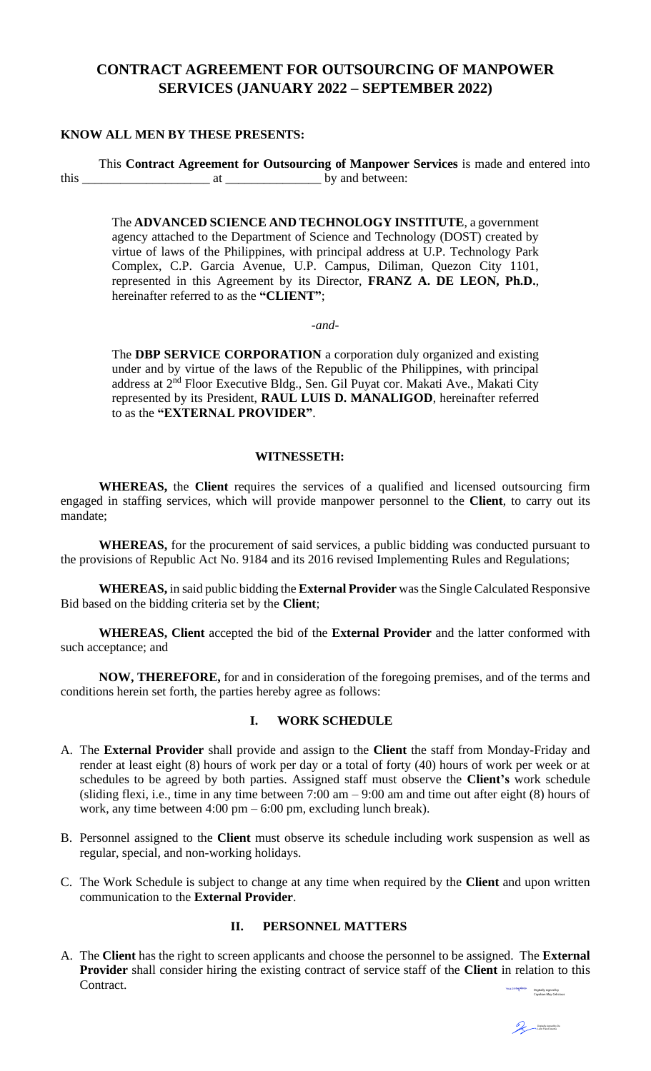# **CONTRACT AGREEMENT FOR OUTSOURCING OF MANPOWER SERVICES (JANUARY 2022 – SEPTEMBER 2022)**

### **KNOW ALL MEN BY THESE PRESENTS:**

This **Contract Agreement for Outsourcing of Manpower Services** is made and entered into this \_\_\_\_\_\_\_\_\_\_\_\_\_\_\_\_\_\_\_\_ at \_\_\_\_\_\_\_\_\_\_\_\_\_\_\_ by and between:

The **ADVANCED SCIENCE AND TECHNOLOGY INSTITUTE**, a government agency attached to the Department of Science and Technology (DOST) created by virtue of laws of the Philippines, with principal address at U.P. Technology Park Complex, C.P. Garcia Avenue, U.P. Campus, Diliman, Quezon City 1101, represented in this Agreement by its Director, **FRANZ A. DE LEON, Ph.D.**, hereinafter referred to as the **"CLIENT"**;

*-and-*

The **DBP SERVICE CORPORATION** a corporation duly organized and existing under and by virtue of the laws of the Republic of the Philippines, with principal address at 2<sup>nd</sup> Floor Executive Bldg., Sen. Gil Puyat cor. Makati Ave., Makati City represented by its President, **RAUL LUIS D. MANALIGOD**, hereinafter referred to as the **"EXTERNAL PROVIDER"**.

#### **WITNESSETH:**

**WHEREAS,** the **Client** requires the services of a qualified and licensed outsourcing firm engaged in staffing services, which will provide manpower personnel to the **Client**, to carry out its mandate;

**WHEREAS,** for the procurement of said services, a public bidding was conducted pursuant to the provisions of Republic Act No. 9184 and its 2016 revised Implementing Rules and Regulations;

**WHEREAS,** in said public bidding the **External Provider** was the Single Calculated Responsive Bid based on the bidding criteria set by the **Client**;

**WHEREAS, Client** accepted the bid of the **External Provider** and the latter conformed with such acceptance; and

**NOW, THEREFORE,** for and in consideration of the foregoing premises, and of the terms and conditions herein set forth, the parties hereby agree as follows:

### **I. WORK SCHEDULE**

- A. The **External Provider** shall provide and assign to the **Client** the staff from Monday-Friday and render at least eight (8) hours of work per day or a total of forty (40) hours of work per week or at schedules to be agreed by both parties. Assigned staff must observe the **Client's** work schedule (sliding flexi, i.e., time in any time between 7:00 am – 9:00 am and time out after eight (8) hours of work, any time between 4:00 pm – 6:00 pm, excluding lunch break).
- B. Personnel assigned to the **Client** must observe its schedule including work suspension as well as regular, special, and non-working holidays.
- C. The Work Schedule is subject to change at any time when required by the **Client** and upon written communication to the **External Provider**.

### **II. PERSONNEL MATTERS**

A. The **Client** has the right to screen applicants and choose the personnel to be assigned. The **External Provider** shall consider hiring the existing contract of service staff of the **Client** in relation to this  $\operatorname{Contract.}$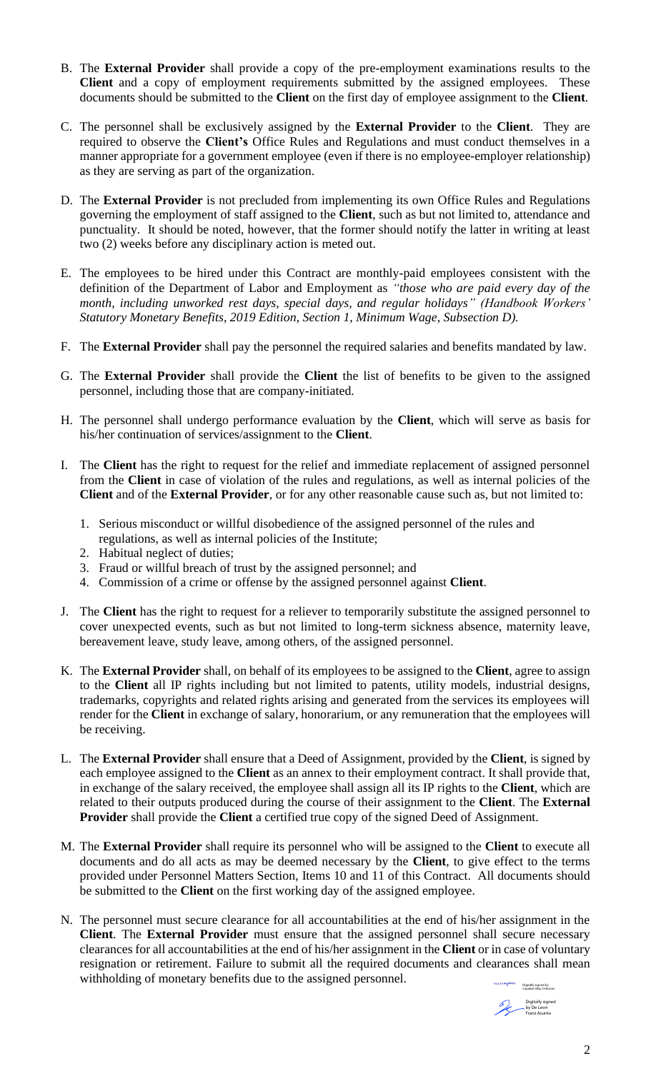- B. The **External Provider** shall provide a copy of the pre-employment examinations results to the **Client** and a copy of employment requirements submitted by the assigned employees. These documents should be submitted to the **Client** on the first day of employee assignment to the **Client**.
- C. The personnel shall be exclusively assigned by the **External Provider** to the **Client**. They are required to observe the **Client's** Office Rules and Regulations and must conduct themselves in a manner appropriate for a government employee (even if there is no employee-employer relationship) as they are serving as part of the organization.
- D. The **External Provider** is not precluded from implementing its own Office Rules and Regulations governing the employment of staff assigned to the **Client**, such as but not limited to, attendance and punctuality. It should be noted, however, that the former should notify the latter in writing at least two (2) weeks before any disciplinary action is meted out.
- E. The employees to be hired under this Contract are monthly-paid employees consistent with the definition of the Department of Labor and Employment as *"those who are paid every day of the month, including unworked rest days, special days, and regular holidays" (Handbook Workers' Statutory Monetary Benefits, 2019 Edition, Section 1, Minimum Wage, Subsection D).*
- F. The **External Provider** shall pay the personnel the required salaries and benefits mandated by law.
- G. The **External Provider** shall provide the **Client** the list of benefits to be given to the assigned personnel, including those that are company-initiated.
- H. The personnel shall undergo performance evaluation by the **Client**, which will serve as basis for his/her continuation of services/assignment to the **Client**.
- I. The **Client** has the right to request for the relief and immediate replacement of assigned personnel from the **Client** in case of violation of the rules and regulations, as well as internal policies of the **Client** and of the **External Provider**, or for any other reasonable cause such as, but not limited to:
	- 1. Serious misconduct or willful disobedience of the assigned personnel of the rules and regulations, as well as internal policies of the Institute;
	- 2. Habitual neglect of duties;
	- 3. Fraud or willful breach of trust by the assigned personnel; and
	- 4. Commission of a crime or offense by the assigned personnel against **Client**.
- J. The **Client** has the right to request for a reliever to temporarily substitute the assigned personnel to cover unexpected events, such as but not limited to long-term sickness absence, maternity leave, bereavement leave, study leave, among others, of the assigned personnel.
- K. The **External Provider** shall, on behalf of its employees to be assigned to the **Client**, agree to assign to the **Client** all IP rights including but not limited to patents, utility models, industrial designs, trademarks, copyrights and related rights arising and generated from the services its employees will render for the **Client** in exchange of salary, honorarium, or any remuneration that the employees will be receiving.
- L. The **External Provider** shall ensure that a Deed of Assignment, provided by the **Client**, is signed by each employee assigned to the **Client** as an annex to their employment contract. It shall provide that, in exchange of the salary received, the employee shall assign all its IP rights to the **Client**, which are related to their outputs produced during the course of their assignment to the **Client**. The **External Provider** shall provide the **Client** a certified true copy of the signed Deed of Assignment.
- M. The **External Provider** shall require its personnel who will be assigned to the **Client** to execute all documents and do all acts as may be deemed necessary by the **Client**, to give effect to the terms provided under Personnel Matters Section, Items 10 and 11 of this Contract. All documents should be submitted to the **Client** on the first working day of the assigned employee.
- N. The personnel must secure clearance for all accountabilities at the end of his/her assignment in the **Client**. The **External Provider** must ensure that the assigned personnel shall secure necessary clearances for all accountabilities at the end of his/her assignment in the **Client** or in case of voluntary resignation or retirement. Failure to submit all the required documents and clearances shall mean withholding of monetary benefits due to the assigned personnel.

Digitally signed by Cayaban May Celicious Digitally signed by De Leon Franz Asunta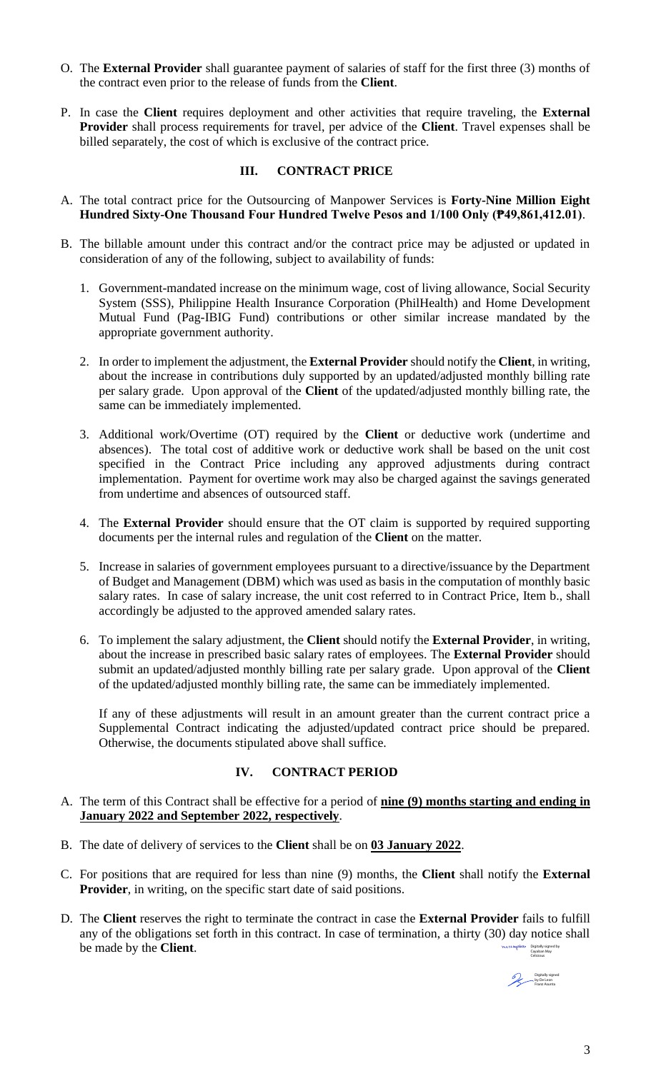- O. The **External Provider** shall guarantee payment of salaries of staff for the first three (3) months of the contract even prior to the release of funds from the **Client**.
- P. In case the **Client** requires deployment and other activities that require traveling, the **External Provider** shall process requirements for travel, per advice of the **Client**. Travel expenses shall be billed separately, the cost of which is exclusive of the contract price.

## **III. CONTRACT PRICE**

- A. The total contract price for the Outsourcing of Manpower Services is **Forty-Nine Million Eight Hundred Sixty-One Thousand Four Hundred Twelve Pesos and 1/100 Only (₱49,861,412.01)**.
- B. The billable amount under this contract and/or the contract price may be adjusted or updated in consideration of any of the following, subject to availability of funds:
	- 1. Government-mandated increase on the minimum wage, cost of living allowance, Social Security System (SSS), Philippine Health Insurance Corporation (PhilHealth) and Home Development Mutual Fund (Pag-IBIG Fund) contributions or other similar increase mandated by the appropriate government authority.
	- 2. In order to implement the adjustment, the **External Provider** should notify the **Client**, in writing, about the increase in contributions duly supported by an updated/adjusted monthly billing rate per salary grade. Upon approval of the **Client** of the updated/adjusted monthly billing rate, the same can be immediately implemented.
	- 3. Additional work/Overtime (OT) required by the **Client** or deductive work (undertime and absences). The total cost of additive work or deductive work shall be based on the unit cost specified in the Contract Price including any approved adjustments during contract implementation. Payment for overtime work may also be charged against the savings generated from undertime and absences of outsourced staff.
	- 4. The **External Provider** should ensure that the OT claim is supported by required supporting documents per the internal rules and regulation of the **Client** on the matter.
	- 5. Increase in salaries of government employees pursuant to a directive/issuance by the Department of Budget and Management (DBM) which was used as basis in the computation of monthly basic salary rates. In case of salary increase, the unit cost referred to in Contract Price, Item b., shall accordingly be adjusted to the approved amended salary rates.
	- 6. To implement the salary adjustment, the **Client** should notify the **External Provider**, in writing, about the increase in prescribed basic salary rates of employees. The **External Provider** should submit an updated/adjusted monthly billing rate per salary grade. Upon approval of the **Client** of the updated/adjusted monthly billing rate, the same can be immediately implemented.

If any of these adjustments will result in an amount greater than the current contract price a Supplemental Contract indicating the adjusted/updated contract price should be prepared. Otherwise, the documents stipulated above shall suffice.

### **IV. CONTRACT PERIOD**

- A. The term of this Contract shall be effective for a period of **nine (9) months starting and ending in January 2022 and September 2022, respectively**.
- B. The date of delivery of services to the **Client** shall be on **03 January 2022**.
- C. For positions that are required for less than nine (9) months, the **Client** shall notify the **External Provider**, in writing, on the specific start date of said positions.
- D. The **Client** reserves the right to terminate the contract in case the **External Provider** fails to fulfill any of the obligations set forth in this contract. In case of termination, a thirty (30) day notice shall be made by the **Client**. Digitally signed by Cayaban May Celicious

Digitally signed by De Leon Franz Asunta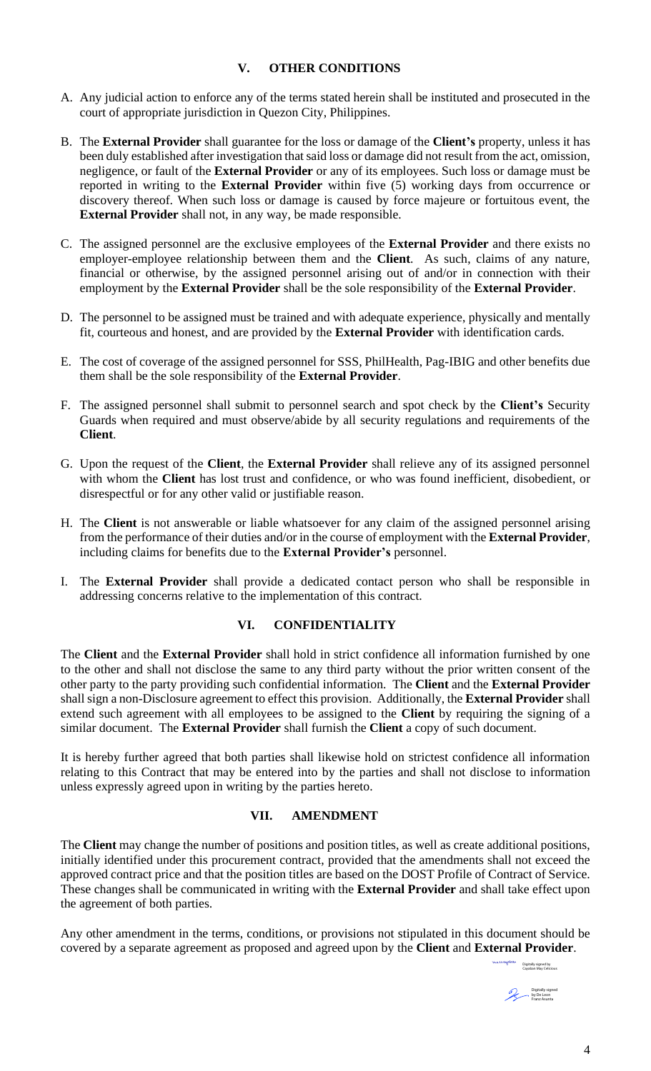## **V. OTHER CONDITIONS**

- A. Any judicial action to enforce any of the terms stated herein shall be instituted and prosecuted in the court of appropriate jurisdiction in Quezon City, Philippines.
- B. The **External Provider** shall guarantee for the loss or damage of the **Client's** property, unless it has been duly established after investigation that said loss or damage did not result from the act, omission, negligence, or fault of the **External Provider** or any of its employees. Such loss or damage must be reported in writing to the **External Provider** within five (5) working days from occurrence or discovery thereof. When such loss or damage is caused by force majeure or fortuitous event, the **External Provider** shall not, in any way, be made responsible.
- C. The assigned personnel are the exclusive employees of the **External Provider** and there exists no employer-employee relationship between them and the **Client**. As such, claims of any nature, financial or otherwise, by the assigned personnel arising out of and/or in connection with their employment by the **External Provider** shall be the sole responsibility of the **External Provider**.
- D. The personnel to be assigned must be trained and with adequate experience, physically and mentally fit, courteous and honest, and are provided by the **External Provider** with identification cards.
- E. The cost of coverage of the assigned personnel for SSS, PhilHealth, Pag-IBIG and other benefits due them shall be the sole responsibility of the **External Provider**.
- F. The assigned personnel shall submit to personnel search and spot check by the **Client's** Security Guards when required and must observe/abide by all security regulations and requirements of the **Client**.
- G. Upon the request of the **Client**, the **External Provider** shall relieve any of its assigned personnel with whom the **Client** has lost trust and confidence, or who was found inefficient, disobedient, or disrespectful or for any other valid or justifiable reason.
- H. The **Client** is not answerable or liable whatsoever for any claim of the assigned personnel arising from the performance of their duties and/or in the course of employment with the **External Provider**, including claims for benefits due to the **External Provider's** personnel.
- I. The **External Provider** shall provide a dedicated contact person who shall be responsible in addressing concerns relative to the implementation of this contract.

# **VI. CONFIDENTIALITY**

The **Client** and the **External Provider** shall hold in strict confidence all information furnished by one to the other and shall not disclose the same to any third party without the prior written consent of the other party to the party providing such confidential information. The **Client** and the **External Provider** shall sign a non-Disclosure agreement to effect this provision. Additionally, the **External Provider** shall extend such agreement with all employees to be assigned to the **Client** by requiring the signing of a similar document. The **External Provider** shall furnish the **Client** a copy of such document.

It is hereby further agreed that both parties shall likewise hold on strictest confidence all information relating to this Contract that may be entered into by the parties and shall not disclose to information unless expressly agreed upon in writing by the parties hereto.

### **VII. AMENDMENT**

The **Client** may change the number of positions and position titles, as well as create additional positions, initially identified under this procurement contract, provided that the amendments shall not exceed the approved contract price and that the position titles are based on the DOST Profile of Contract of Service. These changes shall be communicated in writing with the **External Provider** and shall take effect upon the agreement of both parties.

Any other amendment in the terms, conditions, or provisions not stipulated in this document should be covered by a separate agreement as proposed and agreed upon by the **Client** and **External Provider**.

Digitally signed by Cayaban May Celicious Digitally signed by De Leon Franz Asunta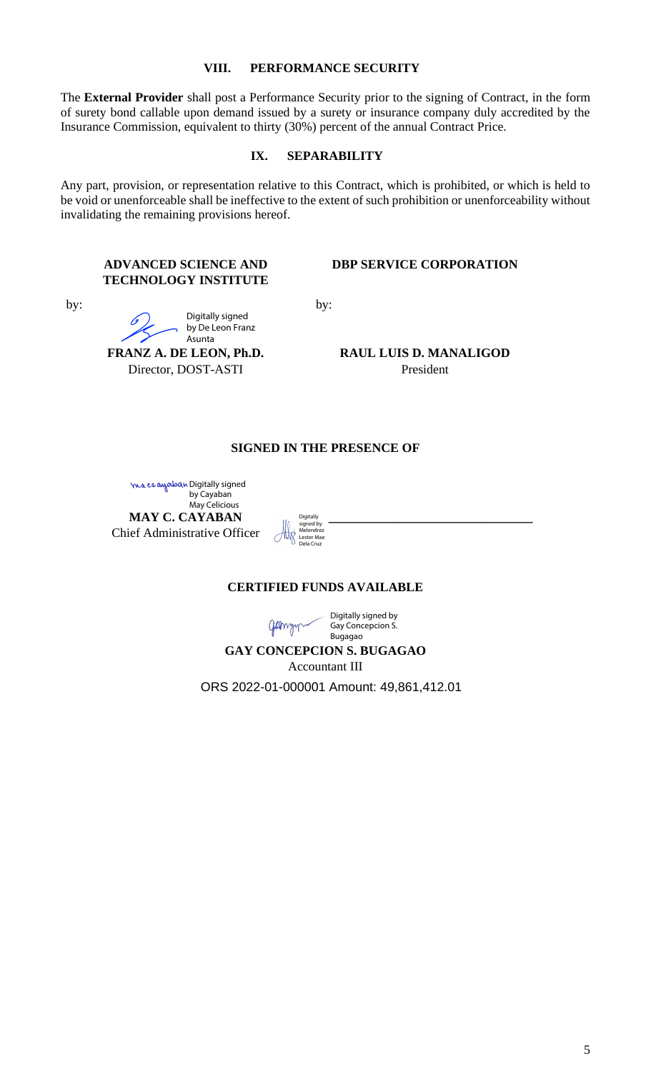#### **VIII. PERFORMANCE SECURITY**

The **External Provider** shall post a Performance Security prior to the signing of Contract, in the form of surety bond callable upon demand issued by a surety or insurance company duly accredited by the Insurance Commission, equivalent to thirty (30%) percent of the annual Contract Price.

#### **IX. SEPARABILITY**

Any part, provision, or representation relative to this Contract, which is prohibited, or which is held to be void or unenforceable shall be ineffective to the extent of such prohibition or unenforceability without invalidating the remaining provisions hereof.

### **ADVANCED SCIENCE AND TECHNOLOGY INSTITUTE**

Digitally signed by De Leon Franz

**FRANZ A. DE LEON, Ph.D.** Director, DOST-ASTI

Asunta

by:

#### **DBP SERVICE CORPORATION**

by:

**RAUL LUIS D. MANALIGOD** President

# **SIGNED IN THE PRESENCE OF**

**MAY C. CAYABAN** Chief Administrative Officer <mark>ma ca awaban Digitally signed</mark> by Cayaban May Celicious

 **\_\_\_\_\_\_\_\_\_\_\_\_\_\_\_\_\_\_\_\_\_\_\_\_\_\_\_\_\_\_\_\_ Digitally** signed by Melendrez Lester Mae Dela Cruz

### **CERTIFIED FUNDS AVAILABLE**

Digitally signed by Gay Concepcion S. gammy Bugagao

# **GAY CONCEPCION S. BUGAGAO**

Accountant III

ORS 2022-01-000001 Amount: 49,861,412.01